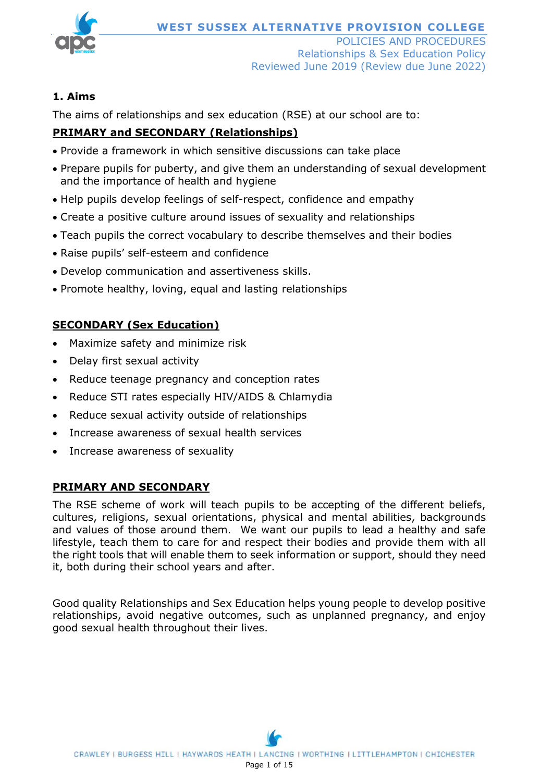

## **1. Aims**

The aims of relationships and sex education (RSE) at our school are to:

# **PRIMARY and SECONDARY (Relationships)**

- Provide a framework in which sensitive discussions can take place
- Prepare pupils for puberty, and give them an understanding of sexual development and the importance of health and hygiene
- Help pupils develop feelings of self-respect, confidence and empathy
- Create a positive culture around issues of sexuality and relationships
- Teach pupils the correct vocabulary to describe themselves and their bodies
- Raise pupils' self-esteem and confidence
- Develop communication and assertiveness skills.
- Promote healthy, loving, equal and lasting relationships

# **SECONDARY (Sex Education)**

- Maximize safety and minimize risk
- Delay first sexual activity
- Reduce teenage pregnancy and conception rates
- Reduce STI rates especially HIV/AIDS & Chlamydia
- Reduce sexual activity outside of relationships
- Increase awareness of sexual health services
- Increase awareness of sexuality

#### **PRIMARY AND SECONDARY**

The RSE scheme of work will teach pupils to be accepting of the different beliefs, cultures, religions, sexual orientations, physical and mental abilities, backgrounds and values of those around them. We want our pupils to lead a healthy and safe lifestyle, teach them to care for and respect their bodies and provide them with all the right tools that will enable them to seek information or support, should they need it, both during their school years and after.

Good quality Relationships and Sex Education helps young people to develop positive relationships, avoid negative outcomes, such as unplanned pregnancy, and enjoy good sexual health throughout their lives.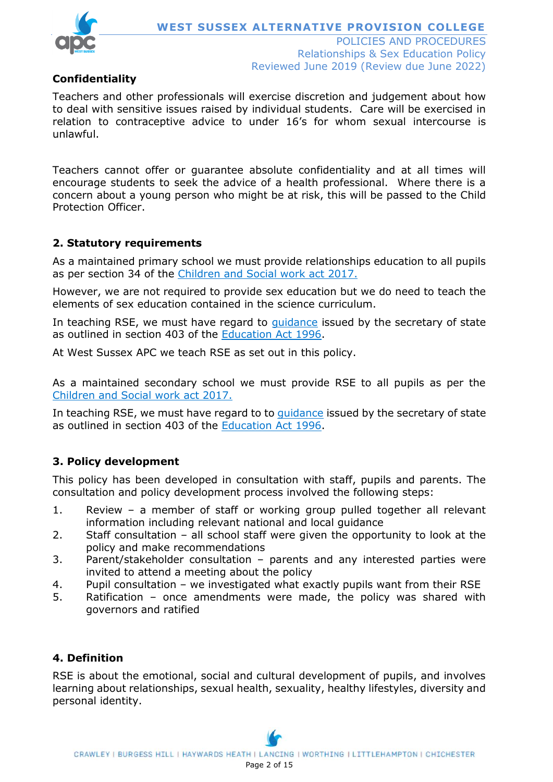

# **Confidentiality**

Teachers and other professionals will exercise discretion and judgement about how to deal with sensitive issues raised by individual students. Care will be exercised in relation to contraceptive advice to under 16's for whom sexual intercourse is unlawful.

Teachers cannot offer or guarantee absolute confidentiality and at all times will encourage students to seek the advice of a health professional. Where there is a concern about a young person who might be at risk, this will be passed to the Child Protection Officer.

## **2. Statutory requirements**

As a maintained primary school we must provide relationships education to all pupils as per section 34 of the [Children and Social work act 2017.](http://www.legislation.gov.uk/ukpga/2017/16/section/34/enacted)

However, we are not required to provide sex education but we do need to teach the elements of sex education contained in the science curriculum.

In teaching RSE, we must have regard to quidance issued by the secretary of state as outlined in section 403 of the [Education Act 1996.](http://www.legislation.gov.uk/ukpga/1996/56/contents)

At West Sussex APC we teach RSE as set out in this policy.

As a maintained secondary school we must provide RSE to all pupils as per the [Children and Social work act 2017.](http://www.legislation.gov.uk/ukpga/2017/16/section/34/enacted)

In teaching RSE, we must have regard to to quidance issued by the secretary of state as outlined in section 403 of the [Education Act 1996.](http://www.legislation.gov.uk/ukpga/1996/56/contents)

#### **3. Policy development**

This policy has been developed in consultation with staff, pupils and parents. The consultation and policy development process involved the following steps:

- 1. Review a member of staff or working group pulled together all relevant information including relevant national and local guidance
- 2. Staff consultation all school staff were given the opportunity to look at the policy and make recommendations
- 3. Parent/stakeholder consultation parents and any interested parties were invited to attend a meeting about the policy
- 4. Pupil consultation we investigated what exactly pupils want from their RSE
- 5. Ratification once amendments were made, the policy was shared with governors and ratified

# **4. Definition**

RSE is about the emotional, social and cultural development of pupils, and involves learning about relationships, sexual health, sexuality, healthy lifestyles, diversity and personal identity.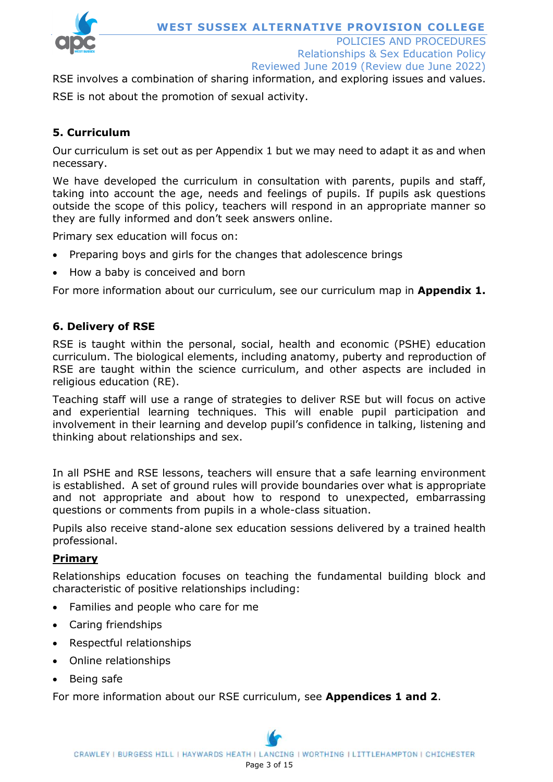

POLICIES AND PROCEDURES Relationships & Sex Education Policy Reviewed June 2019 (Review due June 2022)

RSE involves a combination of sharing information, and exploring issues and values. RSE is not about the promotion of sexual activity.

# **5. Curriculum**

Our curriculum is set out as per Appendix 1 but we may need to adapt it as and when necessary.

We have developed the curriculum in consultation with parents, pupils and staff, taking into account the age, needs and feelings of pupils. If pupils ask questions outside the scope of this policy, teachers will respond in an appropriate manner so they are fully informed and don't seek answers online.

Primary sex education will focus on:

- Preparing boys and girls for the changes that adolescence brings
- How a baby is conceived and born

For more information about our curriculum, see our curriculum map in **Appendix 1.**

#### **6. Delivery of RSE**

RSE is taught within the personal, social, health and economic (PSHE) education curriculum. The biological elements, including anatomy, puberty and reproduction of RSE are taught within the science curriculum, and other aspects are included in religious education (RE).

Teaching staff will use a range of strategies to deliver RSE but will focus on active and experiential learning techniques. This will enable pupil participation and involvement in their learning and develop pupil's confidence in talking, listening and thinking about relationships and sex.

In all PSHE and RSE lessons, teachers will ensure that a safe learning environment is established. A set of ground rules will provide boundaries over what is appropriate and not appropriate and about how to respond to unexpected, embarrassing questions or comments from pupils in a whole-class situation.

Pupils also receive stand-alone sex education sessions delivered by a trained health professional.

#### **Primary**

Relationships education focuses on teaching the fundamental building block and characteristic of positive relationships including:

- Families and people who care for me
- Caring friendships
- Respectful relationships
- Online relationships
- Being safe

For more information about our RSE curriculum, see **Appendices 1 and 2**.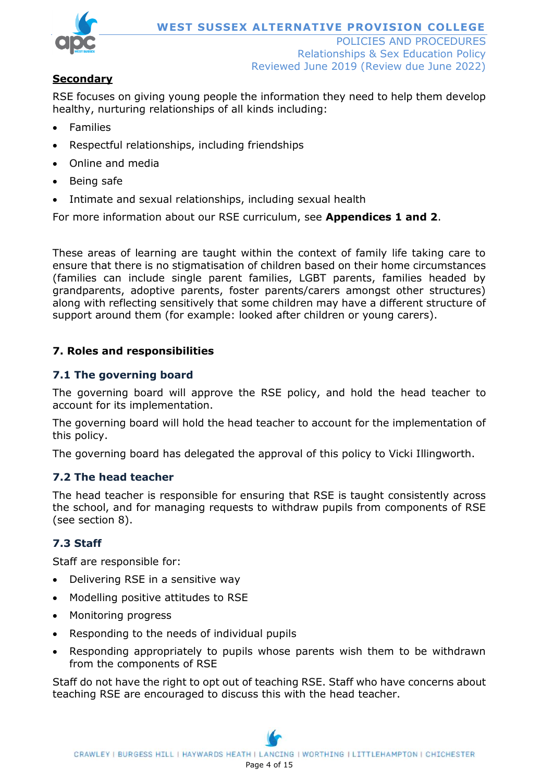

# **Secondary**

RSE focuses on giving young people the information they need to help them develop healthy, nurturing relationships of all kinds including:

- Families
- Respectful relationships, including friendships
- Online and media
- Being safe
- Intimate and sexual relationships, including sexual health

For more information about our RSE curriculum, see **Appendices 1 and 2**.

These areas of learning are taught within the context of family life taking care to ensure that there is no stigmatisation of children based on their home circumstances (families can include single parent families, LGBT parents, families headed by grandparents, adoptive parents, foster parents/carers amongst other structures) along with reflecting sensitively that some children may have a different structure of support around them (for example: looked after children or young carers).

# **7. Roles and responsibilities**

#### **7.1 The governing board**

The governing board will approve the RSE policy, and hold the head teacher to account for its implementation.

The governing board will hold the head teacher to account for the implementation of this policy.

The governing board has delegated the approval of this policy to Vicki Illingworth.

#### **7.2 The head teacher**

The head teacher is responsible for ensuring that RSE is taught consistently across the school, and for managing requests to withdraw pupils from components of RSE (see section 8).

# **7.3 Staff**

Staff are responsible for:

- Delivering RSE in a sensitive way
- Modelling positive attitudes to RSE
- Monitoring progress
- Responding to the needs of individual pupils
- Responding appropriately to pupils whose parents wish them to be withdrawn from the components of RSE

Staff do not have the right to opt out of teaching RSE. Staff who have concerns about teaching RSE are encouraged to discuss this with the head teacher.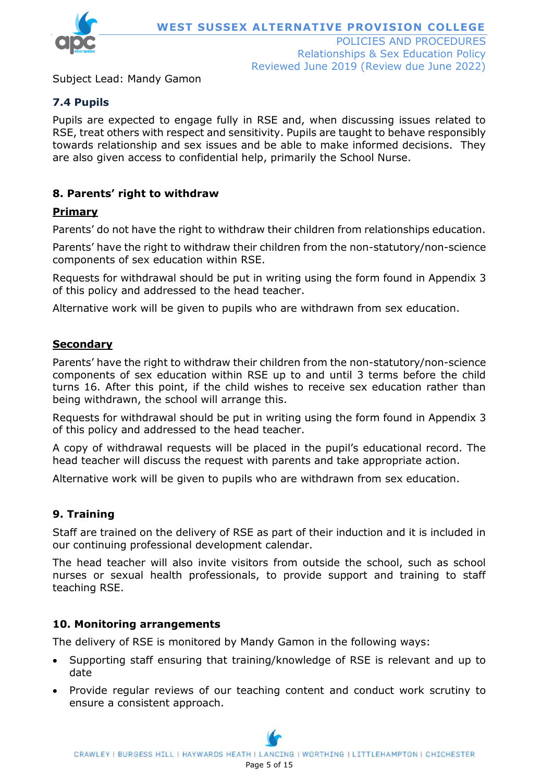

Subject Lead: Mandy Gamon

## **7.4 Pupils**

Pupils are expected to engage fully in RSE and, when discussing issues related to RSE, treat others with respect and sensitivity. Pupils are taught to behave responsibly towards relationship and sex issues and be able to make informed decisions. They are also given access to confidential help, primarily the School Nurse.

#### **8. Parents' right to withdraw**

#### **Primary**

Parents' do not have the right to withdraw their children from relationships education.

Parents' have the right to withdraw their children from the non-statutory/non-science components of sex education within RSE.

Requests for withdrawal should be put in writing using the form found in Appendix 3 of this policy and addressed to the head teacher.

Alternative work will be given to pupils who are withdrawn from sex education.

#### **Secondary**

Parents' have the right to withdraw their children from the non-statutory/non-science components of sex education within RSE up to and until 3 terms before the child turns 16. After this point, if the child wishes to receive sex education rather than being withdrawn, the school will arrange this.

Requests for withdrawal should be put in writing using the form found in Appendix 3 of this policy and addressed to the head teacher.

A copy of withdrawal requests will be placed in the pupil's educational record. The head teacher will discuss the request with parents and take appropriate action.

Alternative work will be given to pupils who are withdrawn from sex education.

#### **9. Training**

Staff are trained on the delivery of RSE as part of their induction and it is included in our continuing professional development calendar.

The head teacher will also invite visitors from outside the school, such as school nurses or sexual health professionals, to provide support and training to staff teaching RSE.

#### **10. Monitoring arrangements**

The delivery of RSE is monitored by Mandy Gamon in the following ways:

- Supporting staff ensuring that training/knowledge of RSE is relevant and up to date
- Provide regular reviews of our teaching content and conduct work scrutiny to ensure a consistent approach.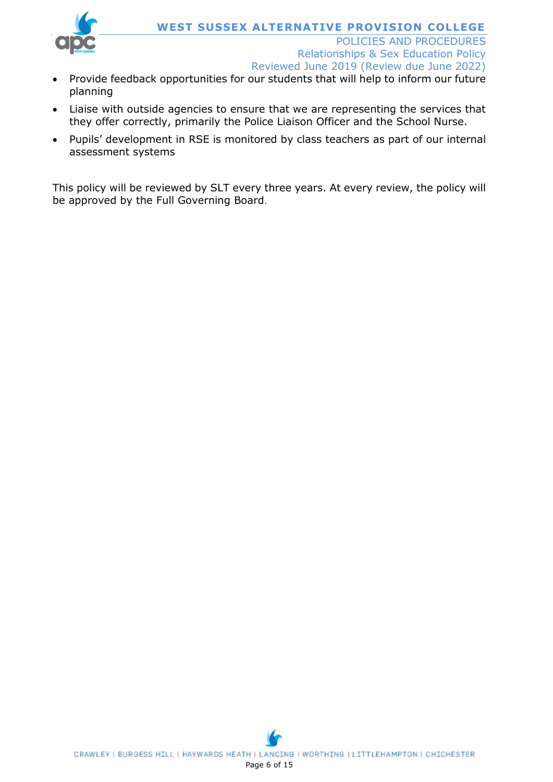

Reviewed June 2019 (Review due June 2022)

- Provide feedback opportunities for our students that will help to inform our future planning
- Liaise with outside agencies to ensure that we are representing the services that they offer correctly, primarily the Police Liaison Officer and the School Nurse.
- Pupils' development in RSE is monitored by class teachers as part of our internal assessment systems

This policy will be reviewed by SLT every three years. At every review, the policy will be approved by the Full Governing Board.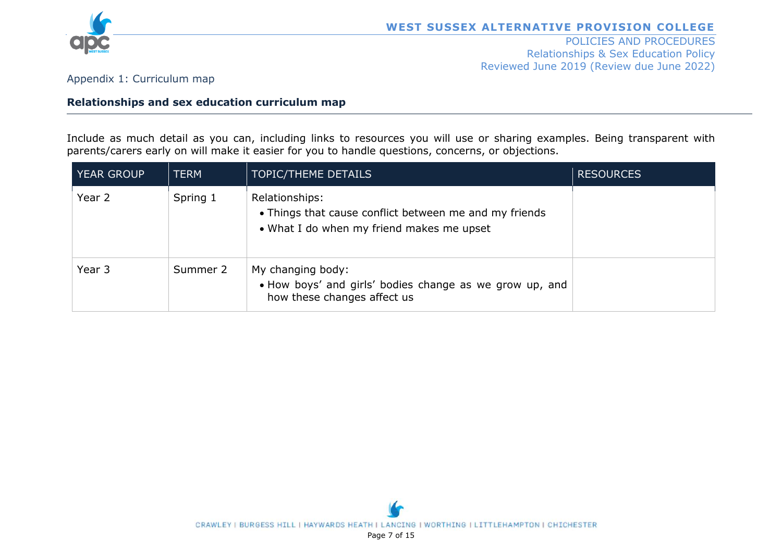

#### POLICIES AND PROCEDURES Relationships & Sex Education Policy Reviewed June 2019 (Review due June 2022)

Appendix 1: Curriculum map

#### **Relationships and sex education curriculum map**

Include as much detail as you can, including links to resources you will use or sharing examples. Being transparent with parents/carers early on will make it easier for you to handle questions, concerns, or objections.

| <b>YEAR GROUP</b> | <b>TERM</b> | <b>TOPIC/THEME DETAILS</b>                                                                                            | <b>RESOURCES</b> |
|-------------------|-------------|-----------------------------------------------------------------------------------------------------------------------|------------------|
| Year 2            | Spring 1    | Relationships:<br>• Things that cause conflict between me and my friends<br>• What I do when my friend makes me upset |                  |
| Year 3            | Summer 2    | My changing body:<br>• How boys' and girls' bodies change as we grow up, and<br>how these changes affect us           |                  |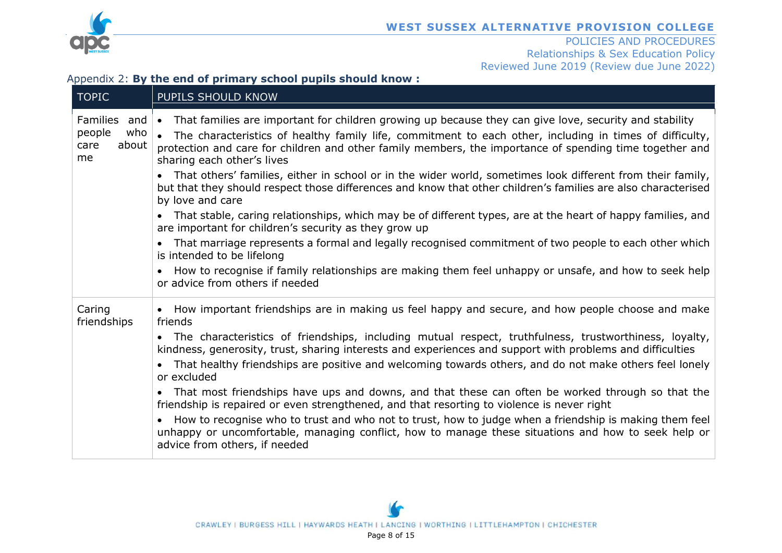

#### POLICIES AND PROCEDURES Relationships & Sex Education Policy Reviewed June 2019 (Review due June 2022)

#### Appendix 2: **By the end of primary school pupils should know :**

| <b>TOPIC</b>                                                             | PUPILS SHOULD KNOW                                                                                                                                                                                                                                                                                                                                                                                                                                                                    |
|--------------------------------------------------------------------------|---------------------------------------------------------------------------------------------------------------------------------------------------------------------------------------------------------------------------------------------------------------------------------------------------------------------------------------------------------------------------------------------------------------------------------------------------------------------------------------|
| <b>Families</b><br>and $\bullet$<br>people<br>who<br>care<br>about<br>me | That families are important for children growing up because they can give love, security and stability<br>The characteristics of healthy family life, commitment to each other, including in times of difficulty,<br>$\bullet$<br>protection and care for children and other family members, the importance of spending time together and<br>sharing each other's lives<br>That others' families, either in school or in the wider world, sometimes look different from their family, |
|                                                                          | but that they should respect those differences and know that other children's families are also characterised<br>by love and care                                                                                                                                                                                                                                                                                                                                                     |
|                                                                          | That stable, caring relationships, which may be of different types, are at the heart of happy families, and<br>are important for children's security as they grow up                                                                                                                                                                                                                                                                                                                  |
|                                                                          | That marriage represents a formal and legally recognised commitment of two people to each other which<br>is intended to be lifelong                                                                                                                                                                                                                                                                                                                                                   |
|                                                                          | How to recognise if family relationships are making them feel unhappy or unsafe, and how to seek help<br>or advice from others if needed                                                                                                                                                                                                                                                                                                                                              |
| Caring<br>friendships                                                    | How important friendships are in making us feel happy and secure, and how people choose and make<br>friends                                                                                                                                                                                                                                                                                                                                                                           |
|                                                                          | The characteristics of friendships, including mutual respect, truthfulness, trustworthiness, loyalty,<br>kindness, generosity, trust, sharing interests and experiences and support with problems and difficulties<br>That healthy friendships are positive and welcoming towards others, and do not make others feel lonely<br>or excluded                                                                                                                                           |
|                                                                          | That most friendships have ups and downs, and that these can often be worked through so that the<br>friendship is repaired or even strengthened, and that resorting to violence is never right                                                                                                                                                                                                                                                                                        |
|                                                                          | How to recognise who to trust and who not to trust, how to judge when a friendship is making them feel<br>unhappy or uncomfortable, managing conflict, how to manage these situations and how to seek help or<br>advice from others, if needed                                                                                                                                                                                                                                        |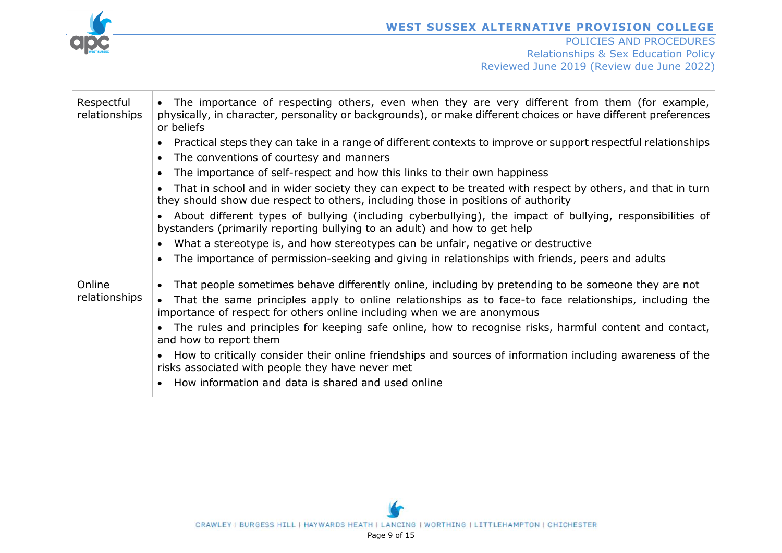

| Respectful<br>relationships | • The importance of respecting others, even when they are very different from them (for example,<br>physically, in character, personality or backgrounds), or make different choices or have different preferences<br>or beliefs |
|-----------------------------|----------------------------------------------------------------------------------------------------------------------------------------------------------------------------------------------------------------------------------|
|                             | Practical steps they can take in a range of different contexts to improve or support respectful relationships                                                                                                                    |
|                             | The conventions of courtesy and manners                                                                                                                                                                                          |
|                             | The importance of self-respect and how this links to their own happiness                                                                                                                                                         |
|                             | That in school and in wider society they can expect to be treated with respect by others, and that in turn<br>they should show due respect to others, including those in positions of authority                                  |
|                             | About different types of bullying (including cyberbullying), the impact of bullying, responsibilities of<br>bystanders (primarily reporting bullying to an adult) and how to get help                                            |
|                             | • What a stereotype is, and how stereotypes can be unfair, negative or destructive                                                                                                                                               |
|                             | The importance of permission-seeking and giving in relationships with friends, peers and adults                                                                                                                                  |
| Online                      | That people sometimes behave differently online, including by pretending to be someone they are not                                                                                                                              |
| relationships               | That the same principles apply to online relationships as to face-to face relationships, including the<br>importance of respect for others online including when we are anonymous                                                |
|                             | The rules and principles for keeping safe online, how to recognise risks, harmful content and contact,<br>and how to report them                                                                                                 |
|                             | How to critically consider their online friendships and sources of information including awareness of the<br>risks associated with people they have never met                                                                    |
|                             | How information and data is shared and used online                                                                                                                                                                               |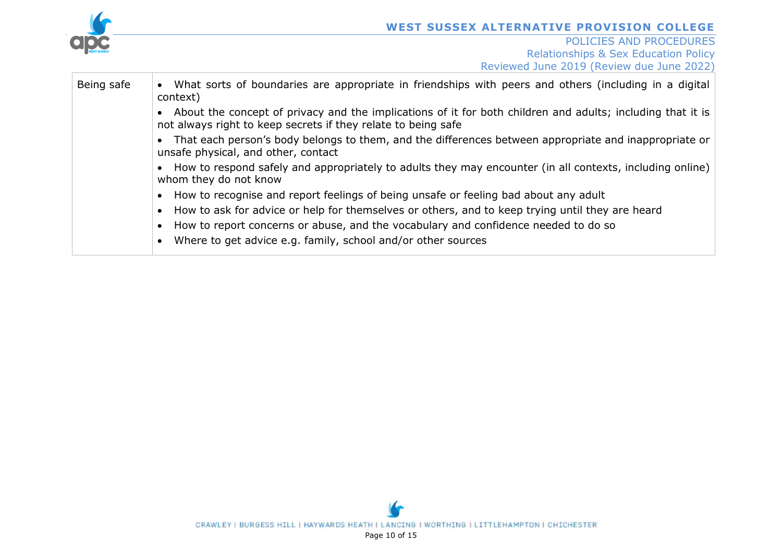

| Being safe | • What sorts of boundaries are appropriate in friendships with peers and others (including in a digital<br>context)                                                           |
|------------|-------------------------------------------------------------------------------------------------------------------------------------------------------------------------------|
|            | • About the concept of privacy and the implications of it for both children and adults; including that it is<br>not always right to keep secrets if they relate to being safe |
|            | That each person's body belongs to them, and the differences between appropriate and inappropriate or<br>unsafe physical, and other, contact                                  |
|            | • How to respond safely and appropriately to adults they may encounter (in all contexts, including online)<br>whom they do not know                                           |
|            | • How to recognise and report feelings of being unsafe or feeling bad about any adult                                                                                         |
|            | • How to ask for advice or help for themselves or others, and to keep trying until they are heard                                                                             |
|            | • How to report concerns or abuse, and the vocabulary and confidence needed to do so                                                                                          |
|            | Where to get advice e.g. family, school and/or other sources                                                                                                                  |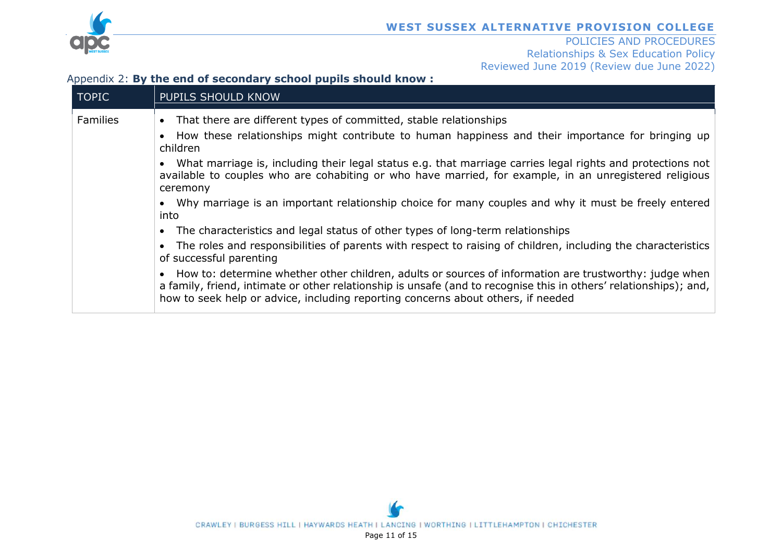

#### POLICIES AND PROCEDURES Relationships & Sex Education Policy Reviewed June 2019 (Review due June 2022)

#### Appendix 2: **By the end of secondary school pupils should know :**

| <b>TOPIC</b>    | <b>PUPILS SHOULD KNOW</b>                                                                                                                                                                                                                                                                                                                                                                                                                                                                                                                                                                                                                                                                                                                                                                                                                                                                                                                                                                                                                                                                           |
|-----------------|-----------------------------------------------------------------------------------------------------------------------------------------------------------------------------------------------------------------------------------------------------------------------------------------------------------------------------------------------------------------------------------------------------------------------------------------------------------------------------------------------------------------------------------------------------------------------------------------------------------------------------------------------------------------------------------------------------------------------------------------------------------------------------------------------------------------------------------------------------------------------------------------------------------------------------------------------------------------------------------------------------------------------------------------------------------------------------------------------------|
| <b>Families</b> | That there are different types of committed, stable relationships<br>$\bullet$<br>How these relationships might contribute to human happiness and their importance for bringing up<br>children<br>What marriage is, including their legal status e.g. that marriage carries legal rights and protections not<br>available to couples who are cohabiting or who have married, for example, in an unregistered religious<br>ceremony<br>• Why marriage is an important relationship choice for many couples and why it must be freely entered<br>into<br>The characteristics and legal status of other types of long-term relationships<br>The roles and responsibilities of parents with respect to raising of children, including the characteristics<br>of successful parenting<br>How to: determine whether other children, adults or sources of information are trustworthy: judge when<br>a family, friend, intimate or other relationship is unsafe (and to recognise this in others' relationships); and,<br>how to seek help or advice, including reporting concerns about others, if needed |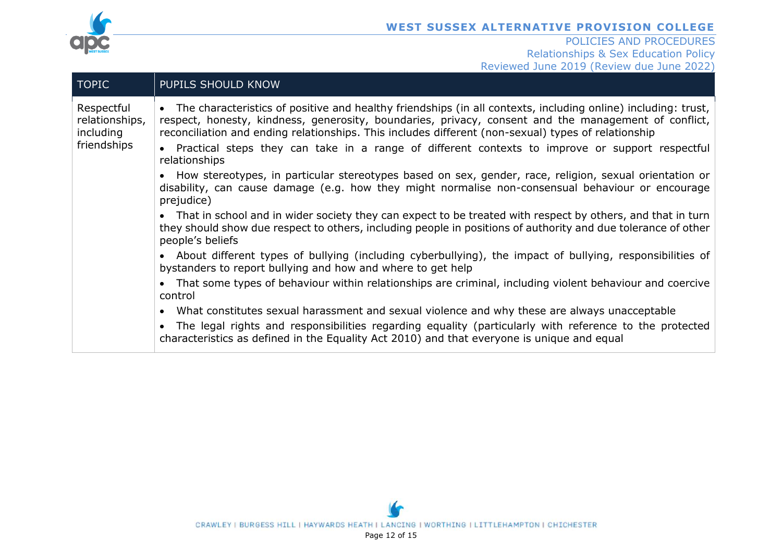

| <b>TOPIC</b>                                             | PUPILS SHOULD KNOW                                                                                                                                                                                                                                                                                                                                                                                                                           |
|----------------------------------------------------------|----------------------------------------------------------------------------------------------------------------------------------------------------------------------------------------------------------------------------------------------------------------------------------------------------------------------------------------------------------------------------------------------------------------------------------------------|
| Respectful<br>relationships,<br>including<br>friendships | The characteristics of positive and healthy friendships (in all contexts, including online) including: trust,<br>$\bullet$<br>respect, honesty, kindness, generosity, boundaries, privacy, consent and the management of conflict,<br>reconciliation and ending relationships. This includes different (non-sexual) types of relationship<br>Practical steps they can take in a range of different contexts to improve or support respectful |
|                                                          | relationships                                                                                                                                                                                                                                                                                                                                                                                                                                |
|                                                          | How stereotypes, in particular stereotypes based on sex, gender, race, religion, sexual orientation or<br>disability, can cause damage (e.g. how they might normalise non-consensual behaviour or encourage<br>prejudice)                                                                                                                                                                                                                    |
|                                                          | That in school and in wider society they can expect to be treated with respect by others, and that in turn<br>$\bullet$<br>they should show due respect to others, including people in positions of authority and due tolerance of other<br>people's beliefs                                                                                                                                                                                 |
|                                                          | About different types of bullying (including cyberbullying), the impact of bullying, responsibilities of<br>$\bullet$<br>bystanders to report bullying and how and where to get help                                                                                                                                                                                                                                                         |
|                                                          | That some types of behaviour within relationships are criminal, including violent behaviour and coercive<br>control                                                                                                                                                                                                                                                                                                                          |
|                                                          | What constitutes sexual harassment and sexual violence and why these are always unacceptable<br>$\bullet$                                                                                                                                                                                                                                                                                                                                    |
|                                                          | The legal rights and responsibilities regarding equality (particularly with reference to the protected<br>characteristics as defined in the Equality Act 2010) and that everyone is unique and equal                                                                                                                                                                                                                                         |
|                                                          |                                                                                                                                                                                                                                                                                                                                                                                                                                              |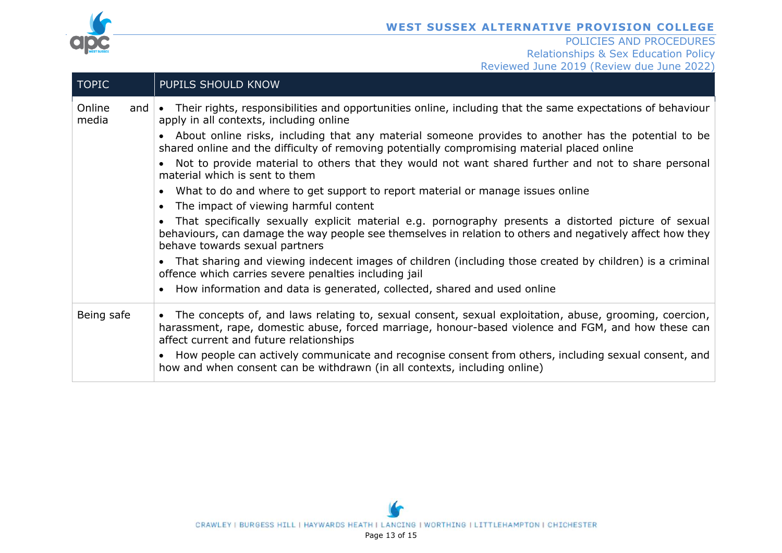

| <b>TOPIC</b>                     | PUPILS SHOULD KNOW                                                                                                                                                                                                                                               |
|----------------------------------|------------------------------------------------------------------------------------------------------------------------------------------------------------------------------------------------------------------------------------------------------------------|
| Online<br>and $\bullet$<br>media | Their rights, responsibilities and opportunities online, including that the same expectations of behaviour<br>apply in all contexts, including online                                                                                                            |
|                                  | About online risks, including that any material someone provides to another has the potential to be<br>shared online and the difficulty of removing potentially compromising material placed online                                                              |
|                                  | Not to provide material to others that they would not want shared further and not to share personal<br>material which is sent to them                                                                                                                            |
|                                  | What to do and where to get support to report material or manage issues online<br>$\bullet$<br>The impact of viewing harmful content                                                                                                                             |
|                                  | That specifically sexually explicit material e.g. pornography presents a distorted picture of sexual<br>$\bullet$<br>behaviours, can damage the way people see themselves in relation to others and negatively affect how they<br>behave towards sexual partners |
|                                  | That sharing and viewing indecent images of children (including those created by children) is a criminal<br>offence which carries severe penalties including jail                                                                                                |
|                                  | How information and data is generated, collected, shared and used online                                                                                                                                                                                         |
| Being safe                       | The concepts of, and laws relating to, sexual consent, sexual exploitation, abuse, grooming, coercion,<br>harassment, rape, domestic abuse, forced marriage, honour-based violence and FGM, and how these can<br>affect current and future relationships         |
|                                  | How people can actively communicate and recognise consent from others, including sexual consent, and<br>how and when consent can be withdrawn (in all contexts, including online)                                                                                |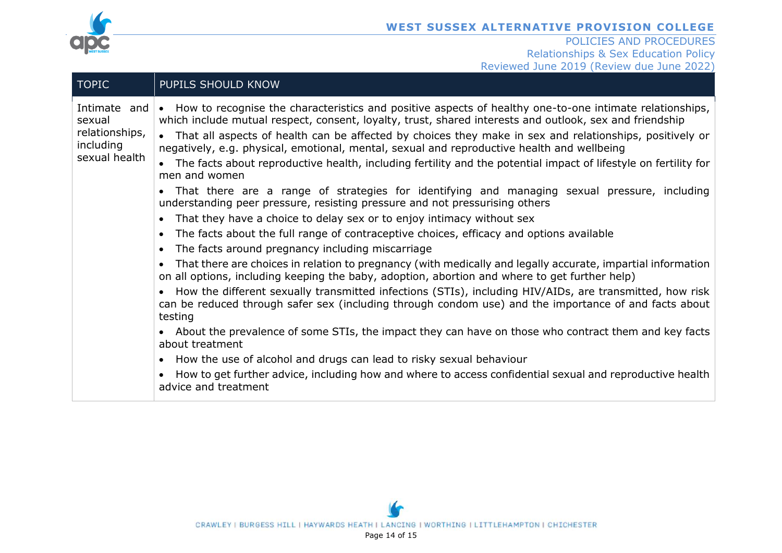

| <b>TOPIC</b>                                                           | PUPILS SHOULD KNOW                                                                                                                                                                                                                                                                                                                                                                                                                                                                                                                                                                                                                                                                                                                                                                                                                                                                                                                                                                                                                                                                                                                                                                                                                                                                                                                                                                                                                                                                                                                                                                                                                                                                                                                                                    |
|------------------------------------------------------------------------|-----------------------------------------------------------------------------------------------------------------------------------------------------------------------------------------------------------------------------------------------------------------------------------------------------------------------------------------------------------------------------------------------------------------------------------------------------------------------------------------------------------------------------------------------------------------------------------------------------------------------------------------------------------------------------------------------------------------------------------------------------------------------------------------------------------------------------------------------------------------------------------------------------------------------------------------------------------------------------------------------------------------------------------------------------------------------------------------------------------------------------------------------------------------------------------------------------------------------------------------------------------------------------------------------------------------------------------------------------------------------------------------------------------------------------------------------------------------------------------------------------------------------------------------------------------------------------------------------------------------------------------------------------------------------------------------------------------------------------------------------------------------------|
| Intimate and<br>sexual<br>relationships,<br>including<br>sexual health | • How to recognise the characteristics and positive aspects of healthy one-to-one intimate relationships,<br>which include mutual respect, consent, loyalty, trust, shared interests and outlook, sex and friendship<br>That all aspects of health can be affected by choices they make in sex and relationships, positively or<br>negatively, e.g. physical, emotional, mental, sexual and reproductive health and wellbeing<br>• The facts about reproductive health, including fertility and the potential impact of lifestyle on fertility for<br>men and women<br>• That there are a range of strategies for identifying and managing sexual pressure, including<br>understanding peer pressure, resisting pressure and not pressurising others<br>That they have a choice to delay sex or to enjoy intimacy without sex<br>The facts about the full range of contraceptive choices, efficacy and options available<br>The facts around pregnancy including miscarriage<br>That there are choices in relation to pregnancy (with medically and legally accurate, impartial information<br>on all options, including keeping the baby, adoption, abortion and where to get further help)<br>How the different sexually transmitted infections (STIs), including HIV/AIDs, are transmitted, how risk<br>can be reduced through safer sex (including through condom use) and the importance of and facts about<br>testing<br>• About the prevalence of some STIs, the impact they can have on those who contract them and key facts<br>about treatment<br>• How the use of alcohol and drugs can lead to risky sexual behaviour<br>How to get further advice, including how and where to access confidential sexual and reproductive health<br>advice and treatment |